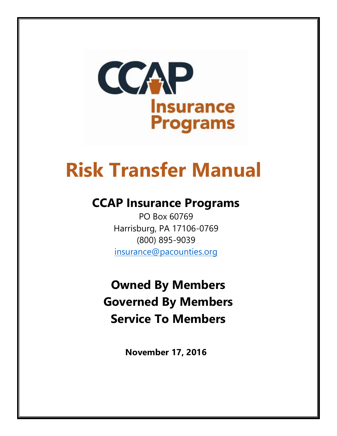

# **Risk Transfer Manual**

# **CCAP Insurance Programs**

PO Box 60769 Harrisburg, PA 17106-0769 (800) 895-9039 [insurance@pacounties.org](mailto:insurance@pacounties.org)

**Owned By Members Governed By Members Service To Members**

**November 17, 2016**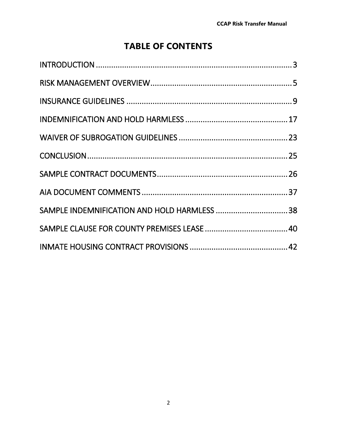# **TABLE OF CONTENTS**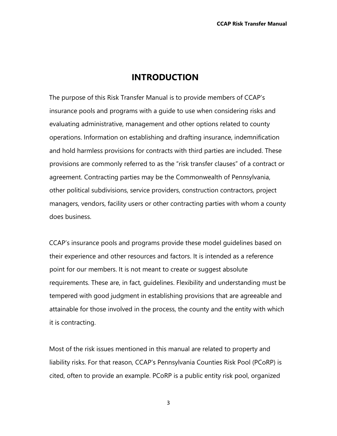#### **INTRODUCTION**

The purpose of this Risk Transfer Manual is to provide members of CCAP's insurance pools and programs with a guide to use when considering risks and evaluating administrative, management and other options related to county operations. Information on establishing and drafting insurance, indemnification and hold harmless provisions for contracts with third parties are included. These provisions are commonly referred to as the "risk transfer clauses" of a contract or agreement. Contracting parties may be the Commonwealth of Pennsylvania, other political subdivisions, service providers, construction contractors, project managers, vendors, facility users or other contracting parties with whom a county does business.

CCAP's insurance pools and programs provide these model guidelines based on their experience and other resources and factors. It is intended as a reference point for our members. It is not meant to create or suggest absolute requirements. These are, in fact, guidelines. Flexibility and understanding must be tempered with good judgment in establishing provisions that are agreeable and attainable for those involved in the process, the county and the entity with which it is contracting.

Most of the risk issues mentioned in this manual are related to property and liability risks. For that reason, CCAP's Pennsylvania Counties Risk Pool (PCoRP) is cited, often to provide an example. PCoRP is a public entity risk pool, organized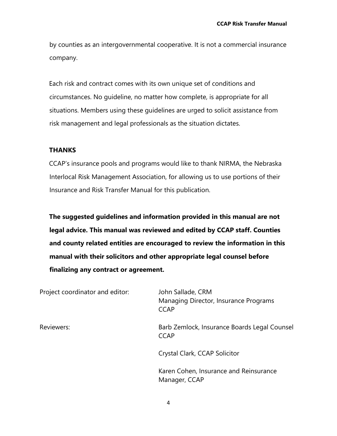by counties as an intergovernmental cooperative. It is not a commercial insurance company.

Each risk and contract comes with its own unique set of conditions and circumstances. No guideline, no matter how complete, is appropriate for all situations. Members using these guidelines are urged to solicit assistance from risk management and legal professionals as the situation dictates.

#### **THANKS**

CCAP's insurance pools and programs would like to thank NIRMA, the Nebraska Interlocal Risk Management Association, for allowing us to use portions of their Insurance and Risk Transfer Manual for this publication.

**The suggested guidelines and information provided in this manual are not legal advice. This manual was reviewed and edited by CCAP staff. Counties and county related entities are encouraged to review the information in this manual with their solicitors and other appropriate legal counsel before finalizing any contract or agreement.**

| Project coordinator and editor: | John Sallade, CRM<br>Managing Director, Insurance Programs<br><b>CCAP</b> |
|---------------------------------|---------------------------------------------------------------------------|
| Reviewers:                      | Barb Zemlock, Insurance Boards Legal Counsel<br><b>CCAP</b>               |
|                                 | Crystal Clark, CCAP Solicitor                                             |
|                                 | Karen Cohen, Insurance and Reinsurance<br>Manager, CCAP                   |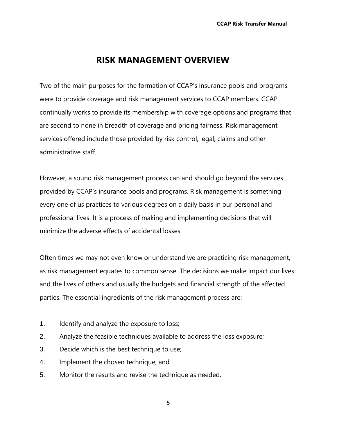### **RISK MANAGEMENT OVERVIEW**

Two of the main purposes for the formation of CCAP's insurance pools and programs were to provide coverage and risk management services to CCAP members. CCAP continually works to provide its membership with coverage options and programs that are second to none in breadth of coverage and pricing fairness. Risk management services offered include those provided by risk control, legal, claims and other administrative staff.

However, a sound risk management process can and should go beyond the services provided by CCAP's insurance pools and programs. Risk management is something every one of us practices to various degrees on a daily basis in our personal and professional lives. It is a process of making and implementing decisions that will minimize the adverse effects of accidental losses.

Often times we may not even know or understand we are practicing risk management, as risk management equates to common sense. The decisions we make impact our lives and the lives of others and usually the budgets and financial strength of the affected parties. The essential ingredients of the risk management process are:

- 1. Identify and analyze the exposure to loss;
- 2. Analyze the feasible techniques available to address the loss exposure;
- 3. Decide which is the best technique to use;
- 4. Implement the chosen technique; and
- 5. Monitor the results and revise the technique as needed.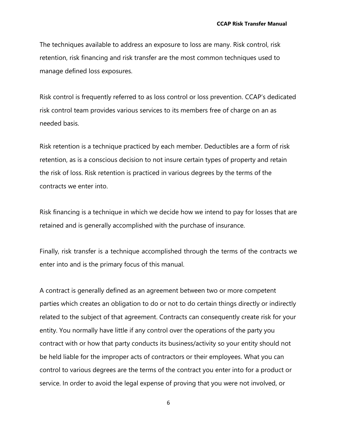The techniques available to address an exposure to loss are many. Risk control, risk retention, risk financing and risk transfer are the most common techniques used to manage defined loss exposures.

Risk control is frequently referred to as loss control or loss prevention. CCAP's dedicated risk control team provides various services to its members free of charge on an as needed basis.

Risk retention is a technique practiced by each member. Deductibles are a form of risk retention, as is a conscious decision to not insure certain types of property and retain the risk of loss. Risk retention is practiced in various degrees by the terms of the contracts we enter into.

Risk financing is a technique in which we decide how we intend to pay for losses that are retained and is generally accomplished with the purchase of insurance.

Finally, risk transfer is a technique accomplished through the terms of the contracts we enter into and is the primary focus of this manual.

A contract is generally defined as an agreement between two or more competent parties which creates an obligation to do or not to do certain things directly or indirectly related to the subject of that agreement. Contracts can consequently create risk for your entity. You normally have little if any control over the operations of the party you contract with or how that party conducts its business/activity so your entity should not be held liable for the improper acts of contractors or their employees. What you can control to various degrees are the terms of the contract you enter into for a product or service. In order to avoid the legal expense of proving that you were not involved, or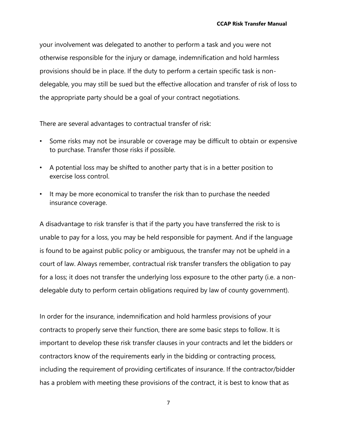your involvement was delegated to another to perform a task and you were not otherwise responsible for the injury or damage, indemnification and hold harmless provisions should be in place. If the duty to perform a certain specific task is nondelegable, you may still be sued but the effective allocation and transfer of risk of loss to the appropriate party should be a goal of your contract negotiations.

There are several advantages to contractual transfer of risk:

- Some risks may not be insurable or coverage may be difficult to obtain or expensive to purchase. Transfer those risks if possible.
- A potential loss may be shifted to another party that is in a better position to exercise loss control.
- It may be more economical to transfer the risk than to purchase the needed insurance coverage.

A disadvantage to risk transfer is that if the party you have transferred the risk to is unable to pay for a loss, you may be held responsible for payment. And if the language is found to be against public policy or ambiguous, the transfer may not be upheld in a court of law. Always remember, contractual risk transfer transfers the obligation to pay for a loss; it does not transfer the underlying loss exposure to the other party (i.e. a nondelegable duty to perform certain obligations required by law of county government).

In order for the insurance, indemnification and hold harmless provisions of your contracts to properly serve their function, there are some basic steps to follow. It is important to develop these risk transfer clauses in your contracts and let the bidders or contractors know of the requirements early in the bidding or contracting process, including the requirement of providing certificates of insurance. If the contractor/bidder has a problem with meeting these provisions of the contract, it is best to know that as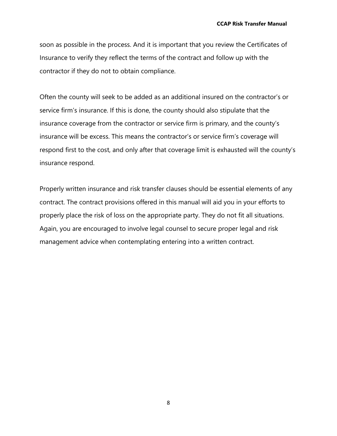soon as possible in the process. And it is important that you review the Certificates of Insurance to verify they reflect the terms of the contract and follow up with the contractor if they do not to obtain compliance.

Often the county will seek to be added as an additional insured on the contractor's or service firm's insurance. If this is done, the county should also stipulate that the insurance coverage from the contractor or service firm is primary, and the county's insurance will be excess. This means the contractor's or service firm's coverage will respond first to the cost, and only after that coverage limit is exhausted will the county's insurance respond.

Properly written insurance and risk transfer clauses should be essential elements of any contract. The contract provisions offered in this manual will aid you in your efforts to properly place the risk of loss on the appropriate party. They do not fit all situations. Again, you are encouraged to involve legal counsel to secure proper legal and risk management advice when contemplating entering into a written contract.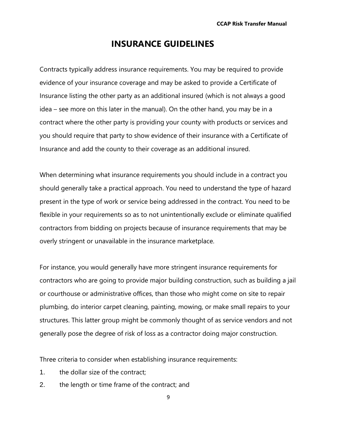#### **INSURANCE GUIDELINES**

Contracts typically address insurance requirements. You may be required to provide evidence of your insurance coverage and may be asked to provide a Certificate of Insurance listing the other party as an additional insured (which is not always a good idea – see more on this later in the manual). On the other hand, you may be in a contract where the other party is providing your county with products or services and you should require that party to show evidence of their insurance with a Certificate of Insurance and add the county to their coverage as an additional insured.

When determining what insurance requirements you should include in a contract you should generally take a practical approach. You need to understand the type of hazard present in the type of work or service being addressed in the contract. You need to be flexible in your requirements so as to not unintentionally exclude or eliminate qualified contractors from bidding on projects because of insurance requirements that may be overly stringent or unavailable in the insurance marketplace.

For instance, you would generally have more stringent insurance requirements for contractors who are going to provide major building construction, such as building a jail or courthouse or administrative offices, than those who might come on site to repair plumbing, do interior carpet cleaning, painting, mowing, or make small repairs to your structures. This latter group might be commonly thought of as service vendors and not generally pose the degree of risk of loss as a contractor doing major construction.

Three criteria to consider when establishing insurance requirements:

- 1. the dollar size of the contract;
- 2. the length or time frame of the contract; and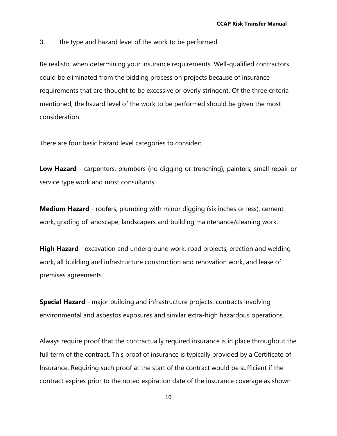3. the type and hazard level of the work to be performed

Be realistic when determining your insurance requirements. Well-qualified contractors could be eliminated from the bidding process on projects because of insurance requirements that are thought to be excessive or overly stringent. Of the three criteria mentioned, the hazard level of the work to be performed should be given the most consideration.

There are four basic hazard level categories to consider:

**Low Hazard** - carpenters, plumbers (no digging or trenching), painters, small repair or service type work and most consultants.

**Medium Hazard** - roofers, plumbing with minor digging (six inches or less), cement work, grading of landscape, landscapers and building maintenance/cleaning work.

**High Hazard** - excavation and underground work, road projects, erection and welding work, all building and infrastructure construction and renovation work, and lease of premises agreements.

**Special Hazard** - major building and infrastructure projects, contracts involving environmental and asbestos exposures and similar extra-high hazardous operations.

Always require proof that the contractually required insurance is in place throughout the full term of the contract. This proof of insurance is typically provided by a Certificate of Insurance. Requiring such proof at the start of the contract would be sufficient if the contract expires prior to the noted expiration date of the insurance coverage as shown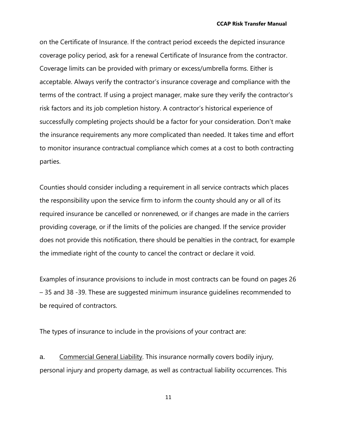on the Certificate of Insurance. If the contract period exceeds the depicted insurance coverage policy period, ask for a renewal Certificate of Insurance from the contractor. Coverage limits can be provided with primary or excess/umbrella forms. Either is acceptable. Always verify the contractor's insurance coverage and compliance with the terms of the contract. If using a project manager, make sure they verify the contractor's risk factors and its job completion history. A contractor's historical experience of successfully completing projects should be a factor for your consideration. Don't make the insurance requirements any more complicated than needed. It takes time and effort to monitor insurance contractual compliance which comes at a cost to both contracting parties.

Counties should consider including a requirement in all service contracts which places the responsibility upon the service firm to inform the county should any or all of its required insurance be cancelled or nonrenewed, or if changes are made in the carriers providing coverage, or if the limits of the policies are changed. If the service provider does not provide this notification, there should be penalties in the contract, for example the immediate right of the county to cancel the contract or declare it void.

Examples of insurance provisions to include in most contracts can be found on pages 26 – 35 and 38 -39. These are suggested minimum insurance guidelines recommended to be required of contractors.

The types of insurance to include in the provisions of your contract are:

a. Commercial General Liability. This insurance normally covers bodily injury, personal injury and property damage, as well as contractual liability occurrences. This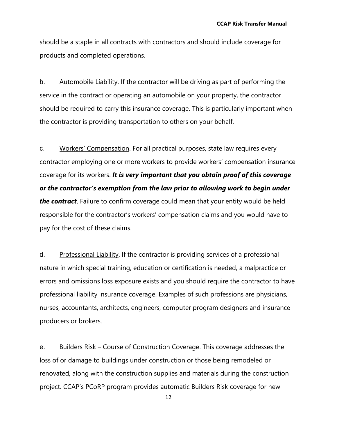should be a staple in all contracts with contractors and should include coverage for products and completed operations.

b. Automobile Liability. If the contractor will be driving as part of performing the service in the contract or operating an automobile on your property, the contractor should be required to carry this insurance coverage. This is particularly important when the contractor is providing transportation to others on your behalf.

c. Workers' Compensation. For all practical purposes, state law requires every contractor employing one or more workers to provide workers' compensation insurance coverage for its workers. *It is very important that you obtain proof of this coverage or the contractor's exemption from the law prior to allowing work to begin under the contract*. Failure to confirm coverage could mean that your entity would be held responsible for the contractor's workers' compensation claims and you would have to pay for the cost of these claims.

d. Professional Liability. If the contractor is providing services of a professional nature in which special training, education or certification is needed, a malpractice or errors and omissions loss exposure exists and you should require the contractor to have professional liability insurance coverage. Examples of such professions are physicians, nurses, accountants, architects, engineers, computer program designers and insurance producers or brokers.

e. Builders Risk – Course of Construction Coverage. This coverage addresses the loss of or damage to buildings under construction or those being remodeled or renovated, along with the construction supplies and materials during the construction project. CCAP's PCoRP program provides automatic Builders Risk coverage for new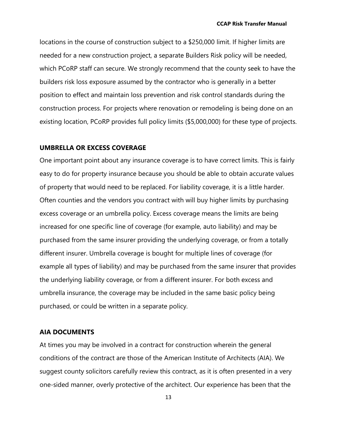locations in the course of construction subject to a \$250,000 limit. If higher limits are needed for a new construction project, a separate Builders Risk policy will be needed, which PCoRP staff can secure. We strongly recommend that the county seek to have the builders risk loss exposure assumed by the contractor who is generally in a better position to effect and maintain loss prevention and risk control standards during the construction process. For projects where renovation or remodeling is being done on an existing location, PCoRP provides full policy limits (\$5,000,000) for these type of projects.

#### **UMBRELLA OR EXCESS COVERAGE**

One important point about any insurance coverage is to have correct limits. This is fairly easy to do for property insurance because you should be able to obtain accurate values of property that would need to be replaced. For liability coverage, it is a little harder. Often counties and the vendors you contract with will buy higher limits by purchasing excess coverage or an umbrella policy. Excess coverage means the limits are being increased for one specific line of coverage (for example, auto liability) and may be purchased from the same insurer providing the underlying coverage, or from a totally different insurer. Umbrella coverage is bought for multiple lines of coverage (for example all types of liability) and may be purchased from the same insurer that provides the underlying liability coverage, or from a different insurer. For both excess and umbrella insurance, the coverage may be included in the same basic policy being purchased, or could be written in a separate policy.

#### **AIA DOCUMENTS**

At times you may be involved in a contract for construction wherein the general conditions of the contract are those of the American Institute of Architects (AIA). We suggest county solicitors carefully review this contract, as it is often presented in a very one-sided manner, overly protective of the architect. Our experience has been that the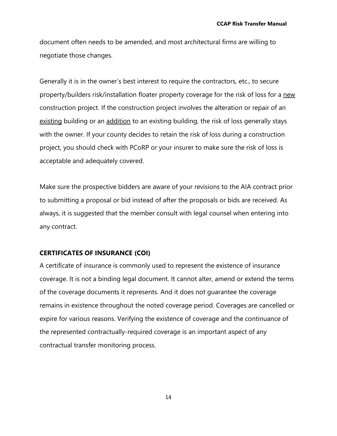document often needs to be amended, and most architectural firms are willing to negotiate those changes.

Generally it is in the owner's best interest to require the contractors, etc., to secure property/builders risk/installation floater property coverage for the risk of loss for a new construction project. If the construction project involves the alteration or repair of an existing building or an addition to an existing building, the risk of loss generally stays with the owner. If your county decides to retain the risk of loss during a construction project, you should check with PCoRP or your insurer to make sure the risk of loss is acceptable and adequately covered.

Make sure the prospective bidders are aware of your revisions to the AIA contract prior to submitting a proposal or bid instead of after the proposals or bids are received. As always, it is suggested that the member consult with legal counsel when entering into any contract.

#### **CERTIFICATES OF INSURANCE (COI)**

A certificate of insurance is commonly used to represent the existence of insurance coverage. It is not a binding legal document. It cannot alter, amend or extend the terms of the coverage documents it represents. And it does not guarantee the coverage remains in existence throughout the noted coverage period. Coverages are cancelled or expire for various reasons. Verifying the existence of coverage and the continuance of the represented contractually-required coverage is an important aspect of any contractual transfer monitoring process.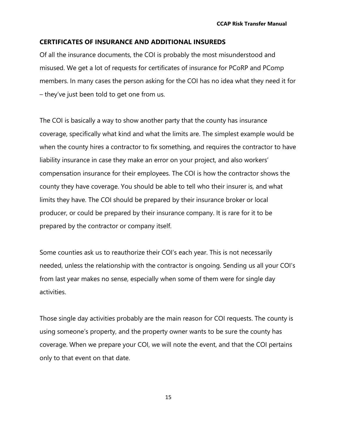#### **CERTIFICATES OF INSURANCE AND ADDITIONAL INSUREDS**

Of all the insurance documents, the COI is probably the most misunderstood and misused. We get a lot of requests for certificates of insurance for PCoRP and PComp members. In many cases the person asking for the COI has no idea what they need it for – they've just been told to get one from us.

The COI is basically a way to show another party that the county has insurance coverage, specifically what kind and what the limits are. The simplest example would be when the county hires a contractor to fix something, and requires the contractor to have liability insurance in case they make an error on your project, and also workers' compensation insurance for their employees. The COI is how the contractor shows the county they have coverage. You should be able to tell who their insurer is, and what limits they have. The COI should be prepared by their insurance broker or local producer, or could be prepared by their insurance company. It is rare for it to be prepared by the contractor or company itself.

Some counties ask us to reauthorize their COI's each year. This is not necessarily needed, unless the relationship with the contractor is ongoing. Sending us all your COI's from last year makes no sense, especially when some of them were for single day activities.

Those single day activities probably are the main reason for COI requests. The county is using someone's property, and the property owner wants to be sure the county has coverage. When we prepare your COI, we will note the event, and that the COI pertains only to that event on that date.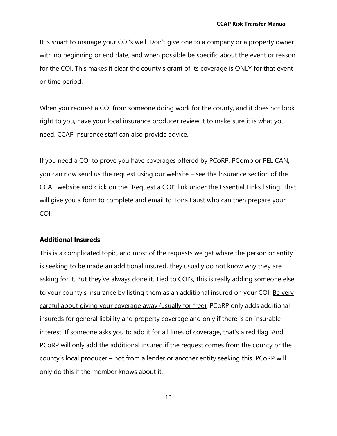It is smart to manage your COI's well. Don't give one to a company or a property owner with no beginning or end date, and when possible be specific about the event or reason for the COI. This makes it clear the county's grant of its coverage is ONLY for that event or time period.

When you request a COI from someone doing work for the county, and it does not look right to you, have your local insurance producer review it to make sure it is what you need. CCAP insurance staff can also provide advice.

If you need a COI to prove you have coverages offered by PCoRP, PComp or PELICAN, you can now send us the request using our website – see the Insurance section of the CCAP website and click on the "Request a COI" link under the Essential Links listing. That will give you a form to complete and email to Tona Faust who can then prepare your COI.

#### **Additional Insureds**

This is a complicated topic, and most of the requests we get where the person or entity is seeking to be made an additional insured, they usually do not know why they are asking for it. But they've always done it. Tied to COI's, this is really adding someone else to your county's insurance by listing them as an additional insured on your COI. <u>Be very</u> careful about giving your coverage away (usually for free). PCoRP only adds additional insureds for general liability and property coverage and only if there is an insurable interest. If someone asks you to add it for all lines of coverage, that's a red flag. And PCoRP will only add the additional insured if the request comes from the county or the county's local producer – not from a lender or another entity seeking this. PCoRP will only do this if the member knows about it.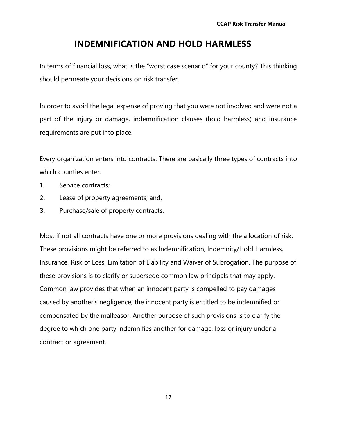#### **INDEMNIFICATION AND HOLD HARMLESS**

In terms of financial loss, what is the "worst case scenario" for your county? This thinking should permeate your decisions on risk transfer.

In order to avoid the legal expense of proving that you were not involved and were not a part of the injury or damage, indemnification clauses (hold harmless) and insurance requirements are put into place.

Every organization enters into contracts. There are basically three types of contracts into which counties enter:

- 1. Service contracts;
- 2. Lease of property agreements; and,
- 3. Purchase/sale of property contracts.

Most if not all contracts have one or more provisions dealing with the allocation of risk. These provisions might be referred to as Indemnification, Indemnity/Hold Harmless, Insurance, Risk of Loss, Limitation of Liability and Waiver of Subrogation. The purpose of these provisions is to clarify or supersede common law principals that may apply. Common law provides that when an innocent party is compelled to pay damages caused by another's negligence, the innocent party is entitled to be indemnified or compensated by the malfeasor. Another purpose of such provisions is to clarify the degree to which one party indemnifies another for damage, loss or injury under a contract or agreement.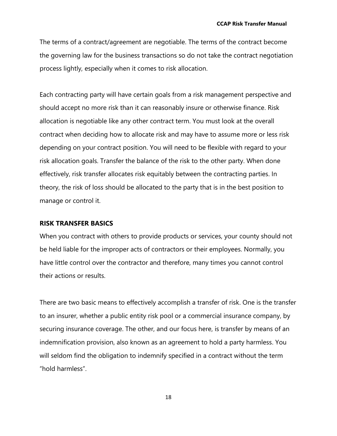The terms of a contract/agreement are negotiable. The terms of the contract become the governing law for the business transactions so do not take the contract negotiation process lightly, especially when it comes to risk allocation.

Each contracting party will have certain goals from a risk management perspective and should accept no more risk than it can reasonably insure or otherwise finance. Risk allocation is negotiable like any other contract term. You must look at the overall contract when deciding how to allocate risk and may have to assume more or less risk depending on your contract position. You will need to be flexible with regard to your risk allocation goals. Transfer the balance of the risk to the other party. When done effectively, risk transfer allocates risk equitably between the contracting parties. In theory, the risk of loss should be allocated to the party that is in the best position to manage or control it.

#### **RISK TRANSFER BASICS**

When you contract with others to provide products or services, your county should not be held liable for the improper acts of contractors or their employees. Normally, you have little control over the contractor and therefore, many times you cannot control their actions or results.

There are two basic means to effectively accomplish a transfer of risk. One is the transfer to an insurer, whether a public entity risk pool or a commercial insurance company, by securing insurance coverage. The other, and our focus here, is transfer by means of an indemnification provision, also known as an agreement to hold a party harmless. You will seldom find the obligation to indemnify specified in a contract without the term "hold harmless".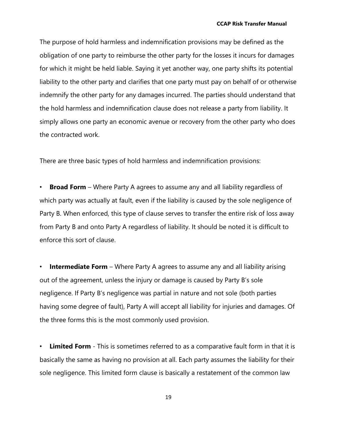The purpose of hold harmless and indemnification provisions may be defined as the obligation of one party to reimburse the other party for the losses it incurs for damages for which it might be held liable. Saying it yet another way, one party shifts its potential liability to the other party and clarifies that one party must pay on behalf of or otherwise indemnify the other party for any damages incurred. The parties should understand that the hold harmless and indemnification clause does not release a party from liability. It simply allows one party an economic avenue or recovery from the other party who does the contracted work.

There are three basic types of hold harmless and indemnification provisions:

**Broad Form** – Where Party A agrees to assume any and all liability regardless of which party was actually at fault, even if the liability is caused by the sole negligence of Party B. When enforced, this type of clause serves to transfer the entire risk of loss away from Party B and onto Party A regardless of liability. It should be noted it is difficult to enforce this sort of clause.

**Intermediate Form** – Where Party A agrees to assume any and all liability arising out of the agreement, unless the injury or damage is caused by Party B's sole negligence. If Party B's negligence was partial in nature and not sole (both parties having some degree of fault), Party A will accept all liability for injuries and damages. Of the three forms this is the most commonly used provision.

**Limited Form** - This is sometimes referred to as a comparative fault form in that it is basically the same as having no provision at all. Each party assumes the liability for their sole negligence. This limited form clause is basically a restatement of the common law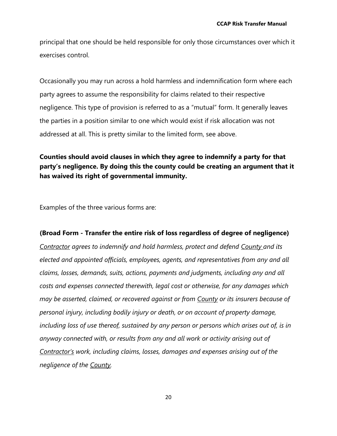principal that one should be held responsible for only those circumstances over which it exercises control.

Occasionally you may run across a hold harmless and indemnification form where each party agrees to assume the responsibility for claims related to their respective negligence. This type of provision is referred to as a "mutual" form. It generally leaves the parties in a position similar to one which would exist if risk allocation was not addressed at all. This is pretty similar to the limited form, see above.

#### **Counties should avoid clauses in which they agree to indemnify a party for that party's negligence. By doing this the county could be creating an argument that it has waived its right of governmental immunity.**

Examples of the three various forms are:

#### **(Broad Form - Transfer the entire risk of loss regardless of degree of negligence)**

*Contractor agrees to indemnify and hold harmless, protect and defend County and its elected and appointed officials, employees, agents, and representatives from any and all claims, losses, demands, suits, actions, payments and judgments, including any and all costs and expenses connected therewith, legal cost or otherwise, for any damages which may be asserted, claimed, or recovered against or from County or its insurers because of personal injury, including bodily injury or death, or on account of property damage, including loss of use thereof, sustained by any person or persons which arises out of, is in anyway connected with, or results from any and all work or activity arising out of Contractor's work, including claims, losses, damages and expenses arising out of the negligence of the County.*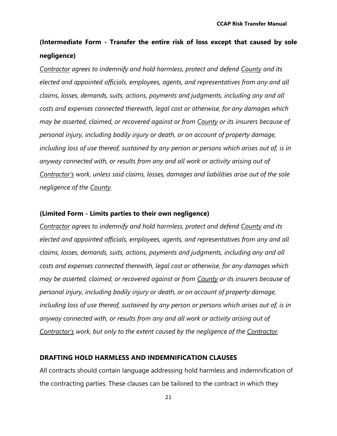# **(Intermediate Form - Transfer the entire risk of loss except that caused by sole negligence)**

*Contractor agrees to indemnify and hold harmless, protect and defend County and its elected and appointed officials, employees, agents, and representatives from any and all claims, losses, demands, suits, actions, payments and judgments, including any and all costs and expenses connected therewith, legal cost or otherwise, for any damages which may be asserted, claimed, or recovered against or from County or its insurers because of personal injury, including bodily injury or death, or on account of property damage, including loss of use thereof, sustained by any person or persons which arises out of, is in anyway connected with, or results from any and all work or activity arising out of Contractor's work, unless said claims, losses, damages and liabilities arise out of the sole negligence of the County.*

#### **(Limited Form - Limits parties to their own negligence)**

*Contractor agrees to indemnify and hold harmless, protect and defend County and its elected and appointed officials, employees, agents, and representatives from any and all claims, losses, demands, suits, actions, payments and judgments, including any and all costs and expenses connected therewith, legal cost or otherwise, for any damages which may be asserted, claimed, or recovered against or from County or its insurers because of personal injury, including bodily injury or death, or on account of property damage, including loss of use thereof, sustained by any person or persons which arises out of, is in anyway connected with, or results from any and all work or activity arising out of Contractor's work, but only to the extent caused by the negligence of the Contractor.* 

#### **DRAFTING HOLD HARMLESS AND INDEMNIFICATION CLAUSES**

All contracts should contain language addressing hold harmless and indemnification of the contracting parties. These clauses can be tailored to the contract in which they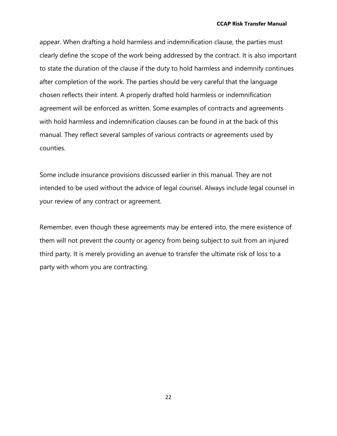appear. When drafting a hold harmless and indemnification clause, the parties must clearly define the scope of the work being addressed by the contract. It is also important to state the duration of the clause if the duty to hold harmless and indemnify continues after completion of the work. The parties should be very careful that the language chosen reflects their intent. A properly drafted hold harmless or indemnification agreement will be enforced as written. Some examples of contracts and agreements with hold harmless and indemnification clauses can be found in at the back of this manual. They reflect several samples of various contracts or agreements used by counties.

Some include insurance provisions discussed earlier in this manual. They are not intended to be used without the advice of legal counsel. Always include legal counsel in your review of any contract or agreement.

Remember, even though these agreements may be entered into, the mere existence of them will not prevent the county or agency from being subject to suit from an injured third party. It is merely providing an avenue to transfer the ultimate risk of loss to a party with whom you are contracting.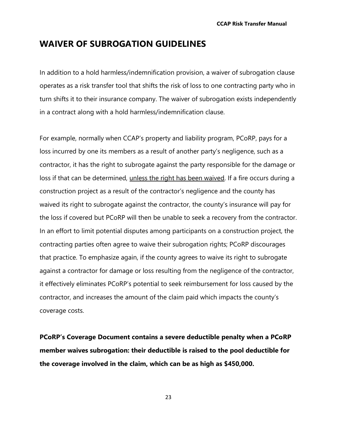### **WAIVER OF SUBROGATION GUIDELINES**

In addition to a hold harmless/indemnification provision, a waiver of subrogation clause operates as a risk transfer tool that shifts the risk of loss to one contracting party who in turn shifts it to their insurance company. The waiver of subrogation exists independently in a contract along with a hold harmless/indemnification clause.

For example, normally when CCAP's property and liability program, PCoRP, pays for a loss incurred by one its members as a result of another party's negligence, such as a contractor, it has the right to subrogate against the party responsible for the damage or loss if that can be determined, unless the right has been waived. If a fire occurs during a construction project as a result of the contractor's negligence and the county has waived its right to subrogate against the contractor, the county's insurance will pay for the loss if covered but PCoRP will then be unable to seek a recovery from the contractor. In an effort to limit potential disputes among participants on a construction project, the contracting parties often agree to waive their subrogation rights; PCoRP discourages that practice. To emphasize again, if the county agrees to waive its right to subrogate against a contractor for damage or loss resulting from the negligence of the contractor, it effectively eliminates PCoRP's potential to seek reimbursement for loss caused by the contractor, and increases the amount of the claim paid which impacts the county's coverage costs.

**PCoRP's Coverage Document contains a severe deductible penalty when a PCoRP member waives subrogation: their deductible is raised to the pool deductible for the coverage involved in the claim, which can be as high as \$450,000.**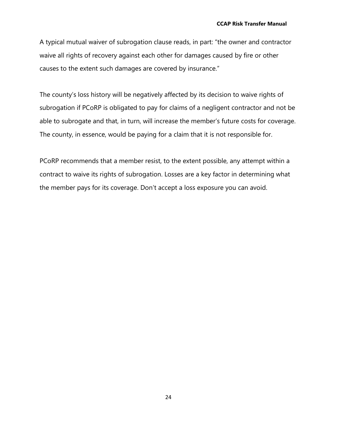A typical mutual waiver of subrogation clause reads, in part: "the owner and contractor waive all rights of recovery against each other for damages caused by fire or other causes to the extent such damages are covered by insurance."

The county's loss history will be negatively affected by its decision to waive rights of subrogation if PCoRP is obligated to pay for claims of a negligent contractor and not be able to subrogate and that, in turn, will increase the member's future costs for coverage. The county, in essence, would be paying for a claim that it is not responsible for.

PCoRP recommends that a member resist, to the extent possible, any attempt within a contract to waive its rights of subrogation. Losses are a key factor in determining what the member pays for its coverage. Don't accept a loss exposure you can avoid.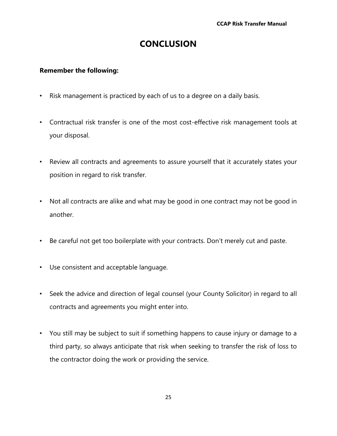# **CONCLUSION**

#### **Remember the following:**

- Risk management is practiced by each of us to a degree on a daily basis.
- Contractual risk transfer is one of the most cost-effective risk management tools at your disposal.
- Review all contracts and agreements to assure yourself that it accurately states your position in regard to risk transfer.
- Not all contracts are alike and what may be good in one contract may not be good in another.
- Be careful not get too boilerplate with your contracts. Don't merely cut and paste.
- Use consistent and acceptable language.
- Seek the advice and direction of legal counsel (your County Solicitor) in regard to all contracts and agreements you might enter into.
- You still may be subject to suit if something happens to cause injury or damage to a third party, so always anticipate that risk when seeking to transfer the risk of loss to the contractor doing the work or providing the service.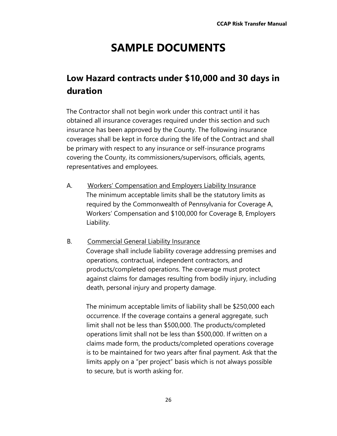# **SAMPLE DOCUMENTS**

# **Low Hazard contracts under \$10,000 and 30 days in duration**

The Contractor shall not begin work under this contract until it has obtained all insurance coverages required under this section and such insurance has been approved by the County. The following insurance coverages shall be kept in force during the life of the Contract and shall be primary with respect to any insurance or self-insurance programs covering the County, its commissioners/supervisors, officials, agents, representatives and employees.

A. Workers' Compensation and Employers Liability Insurance The minimum acceptable limits shall be the statutory limits as required by the Commonwealth of Pennsylvania for Coverage A, Workers' Compensation and \$100,000 for Coverage B, Employers Liability.

#### B. Commercial General Liability Insurance

Coverage shall include liability coverage addressing premises and operations, contractual, independent contractors, and products/completed operations. The coverage must protect against claims for damages resulting from bodily injury, including death, personal injury and property damage.

The minimum acceptable limits of liability shall be \$250,000 each occurrence. If the coverage contains a general aggregate, such limit shall not be less than \$500,000. The products/completed operations limit shall not be less than \$500,000. If written on a claims made form, the products/completed operations coverage is to be maintained for two years after final payment. Ask that the limits apply on a "per project" basis which is not always possible to secure, but is worth asking for.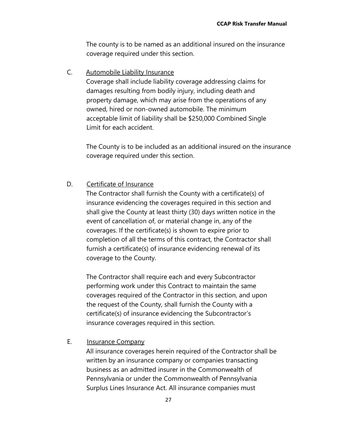The county is to be named as an additional insured on the insurance coverage required under this section.

C. Automobile Liability Insurance

Coverage shall include liability coverage addressing claims for damages resulting from bodily injury, including death and property damage, which may arise from the operations of any owned, hired or non-owned automobile. The minimum acceptable limit of liability shall be \$250,000 Combined Single Limit for each accident.

The County is to be included as an additional insured on the insurance coverage required under this section.

#### D. Certificate of Insurance

The Contractor shall furnish the County with a certificate(s) of insurance evidencing the coverages required in this section and shall give the County at least thirty (30) days written notice in the event of cancellation of, or material change in, any of the coverages. If the certificate(s) is shown to expire prior to completion of all the terms of this contract, the Contractor shall furnish a certificate(s) of insurance evidencing renewal of its coverage to the County.

The Contractor shall require each and every Subcontractor performing work under this Contract to maintain the same coverages required of the Contractor in this section, and upon the request of the County, shall furnish the County with a certificate(s) of insurance evidencing the Subcontractor's insurance coverages required in this section.

#### E. Insurance Company

All insurance coverages herein required of the Contractor shall be written by an insurance company or companies transacting business as an admitted insurer in the Commonwealth of Pennsylvania or under the Commonwealth of Pennsylvania Surplus Lines Insurance Act. All insurance companies must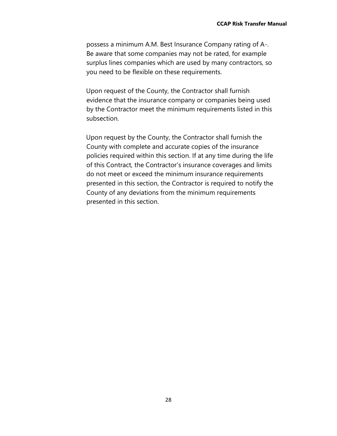possess a minimum A.M. Best Insurance Company rating of A-. Be aware that some companies may not be rated, for example surplus lines companies which are used by many contractors, so you need to be flexible on these requirements.

Upon request of the County, the Contractor shall furnish evidence that the insurance company or companies being used by the Contractor meet the minimum requirements listed in this subsection.

Upon request by the County, the Contractor shall furnish the County with complete and accurate copies of the insurance policies required within this section. If at any time during the life of this Contract, the Contractor's insurance coverages and limits do not meet or exceed the minimum insurance requirements presented in this section, the Contractor is required to notify the County of any deviations from the minimum requirements presented in this section.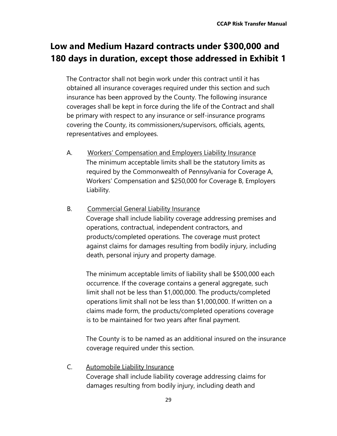# **Low and Medium Hazard contracts under \$300,000 and 180 days in duration, except those addressed in Exhibit 1**

The Contractor shall not begin work under this contract until it has obtained all insurance coverages required under this section and such insurance has been approved by the County. The following insurance coverages shall be kept in force during the life of the Contract and shall be primary with respect to any insurance or self-insurance programs covering the County, its commissioners/supervisors, officials, agents, representatives and employees.

- A. Workers' Compensation and Employers Liability Insurance The minimum acceptable limits shall be the statutory limits as required by the Commonwealth of Pennsylvania for Coverage A, Workers' Compensation and \$250,000 for Coverage B, Employers Liability.
- B. Commercial General Liability Insurance Coverage shall include liability coverage addressing premises and operations, contractual, independent contractors, and products/completed operations. The coverage must protect against claims for damages resulting from bodily injury, including death, personal injury and property damage.

The minimum acceptable limits of liability shall be \$500,000 each occurrence. If the coverage contains a general aggregate, such limit shall not be less than \$1,000,000. The products/completed operations limit shall not be less than \$1,000,000. If written on a claims made form, the products/completed operations coverage is to be maintained for two years after final payment.

The County is to be named as an additional insured on the insurance coverage required under this section.

C. Automobile Liability Insurance Coverage shall include liability coverage addressing claims for damages resulting from bodily injury, including death and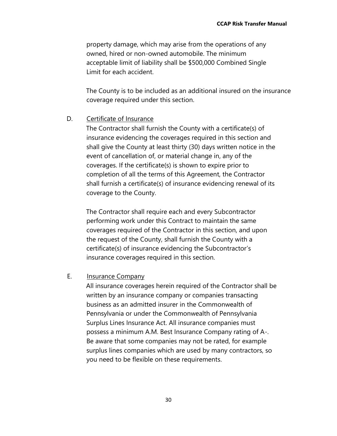property damage, which may arise from the operations of any owned, hired or non-owned automobile. The minimum acceptable limit of liability shall be \$500,000 Combined Single Limit for each accident.

The County is to be included as an additional insured on the insurance coverage required under this section.

#### D. Certificate of Insurance

The Contractor shall furnish the County with a certificate(s) of insurance evidencing the coverages required in this section and shall give the County at least thirty (30) days written notice in the event of cancellation of, or material change in, any of the coverages. If the certificate(s) is shown to expire prior to completion of all the terms of this Agreement, the Contractor shall furnish a certificate(s) of insurance evidencing renewal of its coverage to the County.

The Contractor shall require each and every Subcontractor performing work under this Contract to maintain the same coverages required of the Contractor in this section, and upon the request of the County, shall furnish the County with a certificate(s) of insurance evidencing the Subcontractor's insurance coverages required in this section.

#### E. Insurance Company

All insurance coverages herein required of the Contractor shall be written by an insurance company or companies transacting business as an admitted insurer in the Commonwealth of Pennsylvania or under the Commonwealth of Pennsylvania Surplus Lines Insurance Act. All insurance companies must possess a minimum A.M. Best Insurance Company rating of A-. Be aware that some companies may not be rated, for example surplus lines companies which are used by many contractors, so you need to be flexible on these requirements.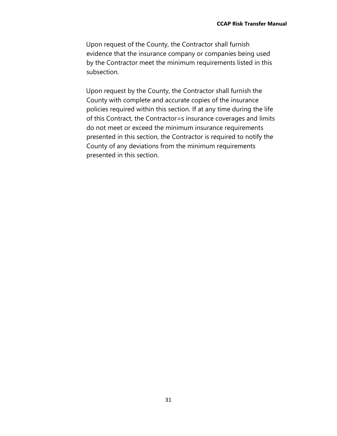Upon request of the County, the Contractor shall furnish evidence that the insurance company or companies being used by the Contractor meet the minimum requirements listed in this subsection.

Upon request by the County, the Contractor shall furnish the County with complete and accurate copies of the insurance policies required within this section. If at any time during the life of this Contract, the Contractor=s insurance coverages and limits do not meet or exceed the minimum insurance requirements presented in this section, the Contractor is required to notify the County of any deviations from the minimum requirements presented in this section.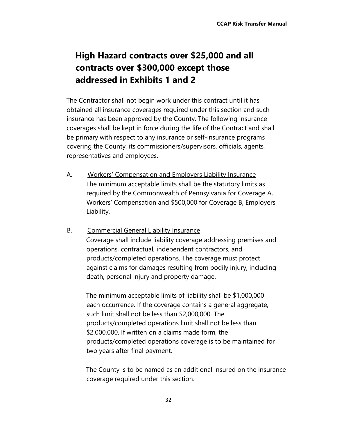# **High Hazard contracts over \$25,000 and all contracts over \$300,000 except those addressed in Exhibits 1 and 2**

The Contractor shall not begin work under this contract until it has obtained all insurance coverages required under this section and such insurance has been approved by the County. The following insurance coverages shall be kept in force during the life of the Contract and shall be primary with respect to any insurance or self-insurance programs covering the County, its commissioners/supervisors, officials, agents, representatives and employees.

- A. Workers' Compensation and Employers Liability Insurance The minimum acceptable limits shall be the statutory limits as required by the Commonwealth of Pennsylvania for Coverage A, Workers' Compensation and \$500,000 for Coverage B, Employers Liability.
- B. Commercial General Liability Insurance Coverage shall include liability coverage addressing premises and operations, contractual, independent contractors, and products/completed operations. The coverage must protect against claims for damages resulting from bodily injury, including death, personal injury and property damage.

The minimum acceptable limits of liability shall be \$1,000,000 each occurrence. If the coverage contains a general aggregate, such limit shall not be less than \$2,000,000. The products/completed operations limit shall not be less than \$2,000,000. If written on a claims made form, the products/completed operations coverage is to be maintained for two years after final payment.

The County is to be named as an additional insured on the insurance coverage required under this section.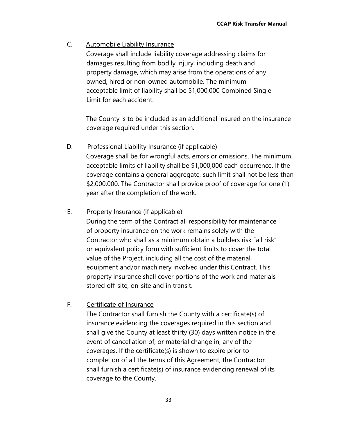#### C. Automobile Liability Insurance

Coverage shall include liability coverage addressing claims for damages resulting from bodily injury, including death and property damage, which may arise from the operations of any owned, hired or non-owned automobile. The minimum acceptable limit of liability shall be \$1,000,000 Combined Single Limit for each accident.

The County is to be included as an additional insured on the insurance coverage required under this section.

D. Professional Liability Insurance (if applicable)

Coverage shall be for wrongful acts, errors or omissions. The minimum acceptable limits of liability shall be \$1,000,000 each occurrence. If the coverage contains a general aggregate, such limit shall not be less than \$2,000,000. The Contractor shall provide proof of coverage for one (1) year after the completion of the work.

#### E. Property Insurance (if applicable)

During the term of the Contract all responsibility for maintenance of property insurance on the work remains solely with the Contractor who shall as a minimum obtain a builders risk "all risk" or equivalent policy form with sufficient limits to cover the total value of the Project, including all the cost of the material, equipment and/or machinery involved under this Contract. This property insurance shall cover portions of the work and materials stored off-site, on-site and in transit.

#### F. Certificate of Insurance

The Contractor shall furnish the County with a certificate(s) of insurance evidencing the coverages required in this section and shall give the County at least thirty (30) days written notice in the event of cancellation of, or material change in, any of the coverages. If the certificate(s) is shown to expire prior to completion of all the terms of this Agreement, the Contractor shall furnish a certificate(s) of insurance evidencing renewal of its coverage to the County.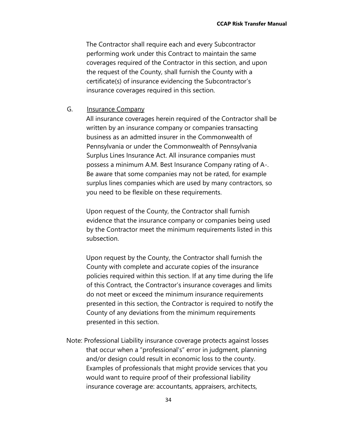The Contractor shall require each and every Subcontractor performing work under this Contract to maintain the same coverages required of the Contractor in this section, and upon the request of the County, shall furnish the County with a certificate(s) of insurance evidencing the Subcontractor's insurance coverages required in this section.

#### G. Insurance Company

All insurance coverages herein required of the Contractor shall be written by an insurance company or companies transacting business as an admitted insurer in the Commonwealth of Pennsylvania or under the Commonwealth of Pennsylvania Surplus Lines Insurance Act. All insurance companies must possess a minimum A.M. Best Insurance Company rating of A-. Be aware that some companies may not be rated, for example surplus lines companies which are used by many contractors, so you need to be flexible on these requirements.

Upon request of the County, the Contractor shall furnish evidence that the insurance company or companies being used by the Contractor meet the minimum requirements listed in this subsection.

Upon request by the County, the Contractor shall furnish the County with complete and accurate copies of the insurance policies required within this section. If at any time during the life of this Contract, the Contractor's insurance coverages and limits do not meet or exceed the minimum insurance requirements presented in this section, the Contractor is required to notify the County of any deviations from the minimum requirements presented in this section.

Note: Professional Liability insurance coverage protects against losses that occur when a "professional's" error in judgment, planning and/or design could result in economic loss to the county. Examples of professionals that might provide services that you would want to require proof of their professional liability insurance coverage are: accountants, appraisers, architects,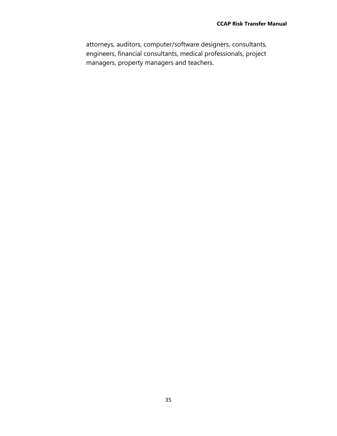attorneys, auditors, computer/software designers, consultants, engineers, financial consultants, medical professionals, project managers, property managers and teachers.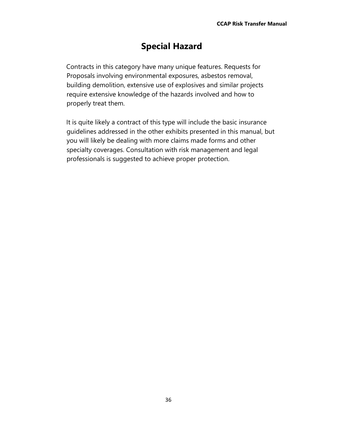# **Special Hazard**

Contracts in this category have many unique features. Requests for Proposals involving environmental exposures, asbestos removal, building demolition, extensive use of explosives and similar projects require extensive knowledge of the hazards involved and how to properly treat them.

It is quite likely a contract of this type will include the basic insurance guidelines addressed in the other exhibits presented in this manual, but you will likely be dealing with more claims made forms and other specialty coverages. Consultation with risk management and legal professionals is suggested to achieve proper protection.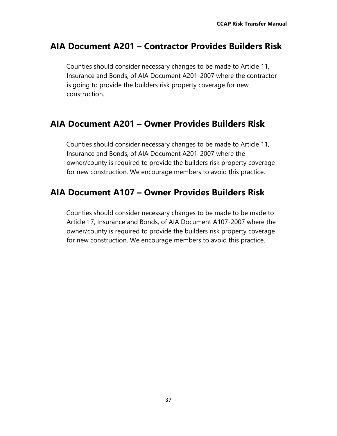# **AIA Document A201 – Contractor Provides Builders Risk**

Counties should consider necessary changes to be made to Article 11, Insurance and Bonds, of AIA Document A201-2007 where the contractor is going to provide the builders risk property coverage for new construction.

## **AIA Document A201 – Owner Provides Builders Risk**

Counties should consider necessary changes to be made to Article 11, Insurance and Bonds, of AIA Document A201-2007 where the owner/county is required to provide the builders risk property coverage for new construction. We encourage members to avoid this practice.

# **AIA Document A107 – Owner Provides Builders Risk**

Counties should consider necessary changes to be made to be made to Article 17, Insurance and Bonds, of AIA Document A107-2007 where the owner/county is required to provide the builders risk property coverage for new construction. We encourage members to avoid this practice.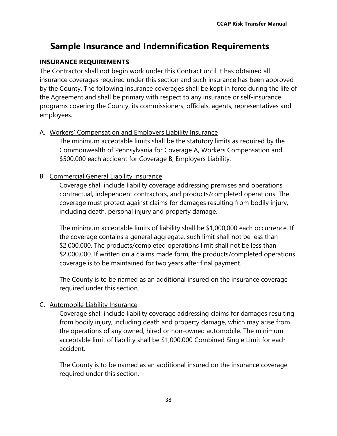# **Sample Insurance and Indemnification Requirements**

#### **INSURANCE REQUIREMENTS**

The Contractor shall not begin work under this Contract until it has obtained all insurance coverages required under this section and such insurance has been approved by the County. The following insurance coverages shall be kept in force during the life of the Agreement and shall be primary with respect to any insurance or self-insurance programs covering the County, its commissioners, officials, agents, representatives and employees.

#### A. Workers' Compensation and Employers Liability Insurance

The minimum acceptable limits shall be the statutory limits as required by the Commonwealth of Pennsylvania for Coverage A, Workers Compensation and \$500,000 each accident for Coverage B, Employers Liability.

#### B. Commercial General Liability Insurance

Coverage shall include liability coverage addressing premises and operations, contractual, independent contractors, and products/completed operations. The coverage must protect against claims for damages resulting from bodily injury, including death, personal injury and property damage.

The minimum acceptable limits of liability shall be \$1,000,000 each occurrence. If the coverage contains a general aggregate, such limit shall not be less than \$2,000,000. The products/completed operations limit shall not be less than \$2,000,000. If written on a claims made form, the products/completed operations coverage is to be maintained for two years after final payment.

The County is to be named as an additional insured on the insurance coverage required under this section.

#### C. Automobile Liability Insurance

Coverage shall include liability coverage addressing claims for damages resulting from bodily injury, including death and property damage, which may arise from the operations of any owned, hired or non-owned automobile. The minimum acceptable limit of liability shall be \$1,000,000 Combined Single Limit for each accident.

The County is to be named as an additional insured on the insurance coverage required under this section.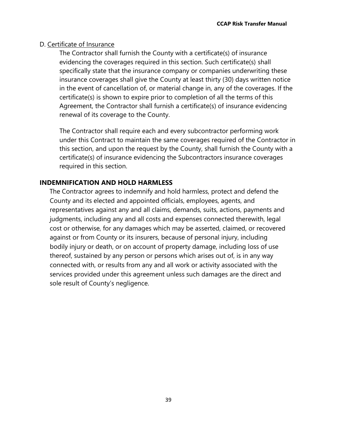#### D. Certificate of Insurance

The Contractor shall furnish the County with a certificate(s) of insurance evidencing the coverages required in this section. Such certificate(s) shall specifically state that the insurance company or companies underwriting these insurance coverages shall give the County at least thirty (30) days written notice in the event of cancellation of, or material change in, any of the coverages. If the certificate(s) is shown to expire prior to completion of all the terms of this Agreement, the Contractor shall furnish a certificate(s) of insurance evidencing renewal of its coverage to the County.

The Contractor shall require each and every subcontractor performing work under this Contract to maintain the same coverages required of the Contractor in this section, and upon the request by the County, shall furnish the County with a certificate(s) of insurance evidencing the Subcontractors insurance coverages required in this section.

#### **INDEMNIFICATION AND HOLD HARMLESS**

The Contractor agrees to indemnify and hold harmless, protect and defend the County and its elected and appointed officials, employees, agents, and representatives against any and all claims, demands, suits, actions, payments and judgments, including any and all costs and expenses connected therewith, legal cost or otherwise, for any damages which may be asserted, claimed, or recovered against or from County or its insurers, because of personal injury, including bodily injury or death, or on account of property damage, including loss of use thereof, sustained by any person or persons which arises out of, is in any way connected with, or results from any and all work or activity associated with the services provided under this agreement unless such damages are the direct and sole result of County's negligence.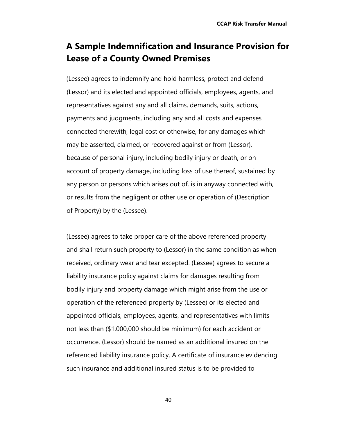# **A Sample Indemnification and Insurance Provision for Lease of a County Owned Premises**

(Lessee) agrees to indemnify and hold harmless, protect and defend (Lessor) and its elected and appointed officials, employees, agents, and representatives against any and all claims, demands, suits, actions, payments and judgments, including any and all costs and expenses connected therewith, legal cost or otherwise, for any damages which may be asserted, claimed, or recovered against or from (Lessor), because of personal injury, including bodily injury or death, or on account of property damage, including loss of use thereof, sustained by any person or persons which arises out of, is in anyway connected with, or results from the negligent or other use or operation of (Description of Property) by the (Lessee).

(Lessee) agrees to take proper care of the above referenced property and shall return such property to (Lessor) in the same condition as when received, ordinary wear and tear excepted. (Lessee) agrees to secure a liability insurance policy against claims for damages resulting from bodily injury and property damage which might arise from the use or operation of the referenced property by (Lessee) or its elected and appointed officials, employees, agents, and representatives with limits not less than (\$1,000,000 should be minimum) for each accident or occurrence. (Lessor) should be named as an additional insured on the referenced liability insurance policy. A certificate of insurance evidencing such insurance and additional insured status is to be provided to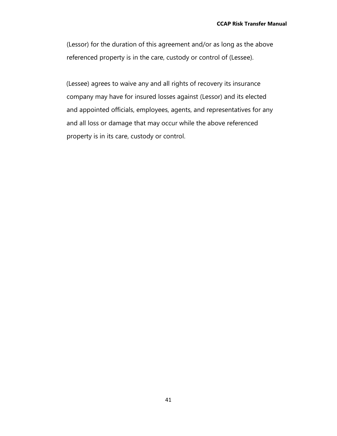(Lessor) for the duration of this agreement and/or as long as the above referenced property is in the care, custody or control of (Lessee).

(Lessee) agrees to waive any and all rights of recovery its insurance company may have for insured losses against (Lessor) and its elected and appointed officials, employees, agents, and representatives for any and all loss or damage that may occur while the above referenced property is in its care, custody or control.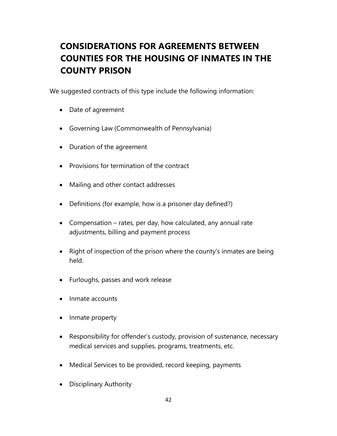# **CONSIDERATIONS FOR AGREEMENTS BETWEEN COUNTIES FOR THE HOUSING OF INMATES IN THE COUNTY PRISON**

We suggested contracts of this type include the following information:

- Date of agreement
- Governing Law (Commonwealth of Pennsylvania)
- Duration of the agreement
- Provisions for termination of the contract
- Mailing and other contact addresses
- Definitions (for example, how is a prisoner day defined?)
- Compensation rates, per day, how calculated, any annual rate adjustments, billing and payment process
- Right of inspection of the prison where the county's inmates are being held.
- Furloughs, passes and work release
- Inmate accounts
- Inmate property
- Responsibility for offender's custody, provision of sustenance, necessary medical services and supplies, programs, treatments, etc.
- Medical Services to be provided, record keeping, payments
- Disciplinary Authority